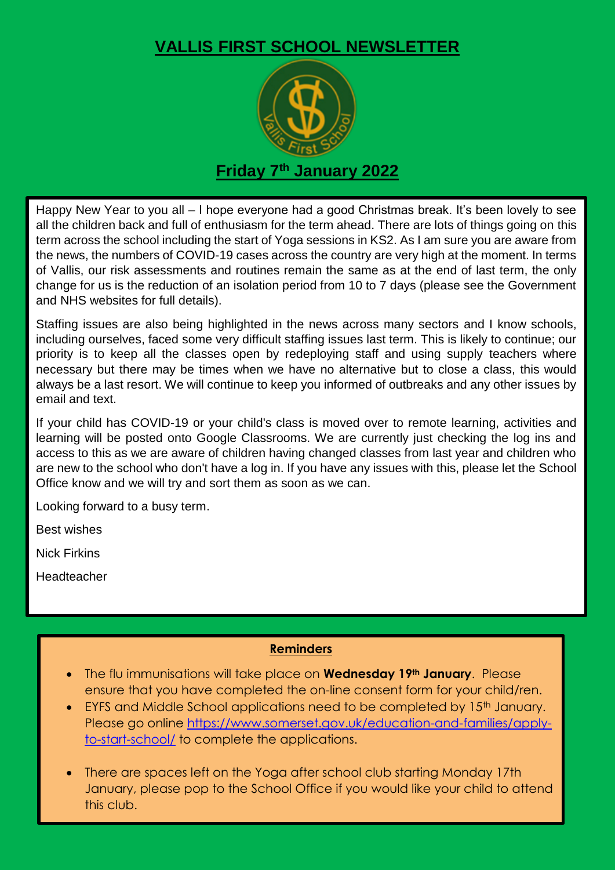## **VALLIS FIRST SCHOOL NEWSLETTER**



Happy New Year to you all – I hope everyone had a good Christmas break. It's been lovely to see all the children back and full of enthusiasm for the term ahead. There are lots of things going on this term across the school including the start of Yoga sessions in KS2. As I am sure you are aware from the news, the numbers of COVID-19 cases across the country are very high at the moment. In terms of Vallis, our risk assessments and routines remain the same as at the end of last term, the only change for us is the reduction of an isolation period from 10 to 7 days (please see the Government and NHS websites for full details).

Staffing issues are also being highlighted in the news across many sectors and I know schools, including ourselves, faced some very difficult staffing issues last term. This is likely to continue; our priority is to keep all the classes open by redeploying staff and using supply teachers where necessary but there may be times when we have no alternative but to close a class, this would always be a last resort. We will continue to keep you informed of outbreaks and any other issues by email and text.

If your child has COVID-19 or your child's class is moved over to remote learning, activities and learning will be posted onto Google Classrooms. We are currently just checking the log ins and access to this as we are aware of children having changed classes from last year and children who are new to the school who don't have a log in. If you have any issues with this, please let the School Office know and we will try and sort them as soon as we can.

Looking forward to a busy term.

Best wishes

Nick Firkins

Headteacher

## **Reminders**

- The flu immunisations will take place on **Wednesday 19th January**. Please ensure that you have completed the on-line consent form for your child/ren.
- EYFS and Middle School applications need to be completed by 15<sup>th</sup> January. Please go online [https://www.somerset.gov.uk/education-and-families/apply](https://www.somerset.gov.uk/education-and-families/apply-to-start-school/)[to-start-school/](https://www.somerset.gov.uk/education-and-families/apply-to-start-school/) to complete the applications.
- There are spaces left on the Yoga after school club starting Monday 17th January, please pop to the School Office if you would like your child to attend this club.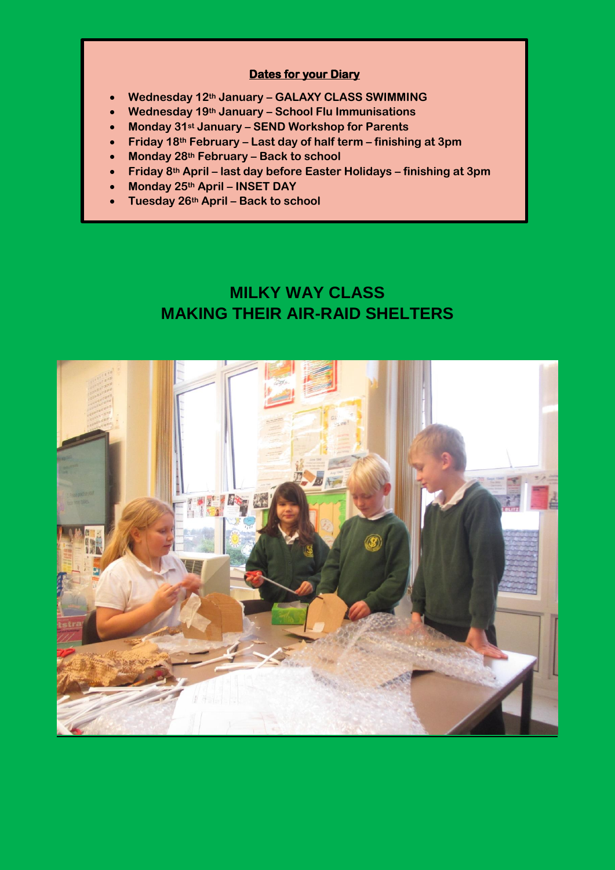## **Dates for your Diary**

- **Wednesday 12th January – GALAXY CLASS SWIMMING**
- **Wednesday 19th January – School Flu Immunisations**
- **Monday 31st January – SEND Workshop for Parents**
- **Friday 18th February – Last day of half term – finishing at 3pm**
- **Monday 28th February – Back to school**
- **Friday 8th April – last day before Easter Holidays – finishing at 3pm**
- **Monday 25th April – INSET DAY**

**Tuesday 26th April – Back to school** 

## **MILKY WAY CLASS MAKING THEIR AIR-RAID SHELTERS**